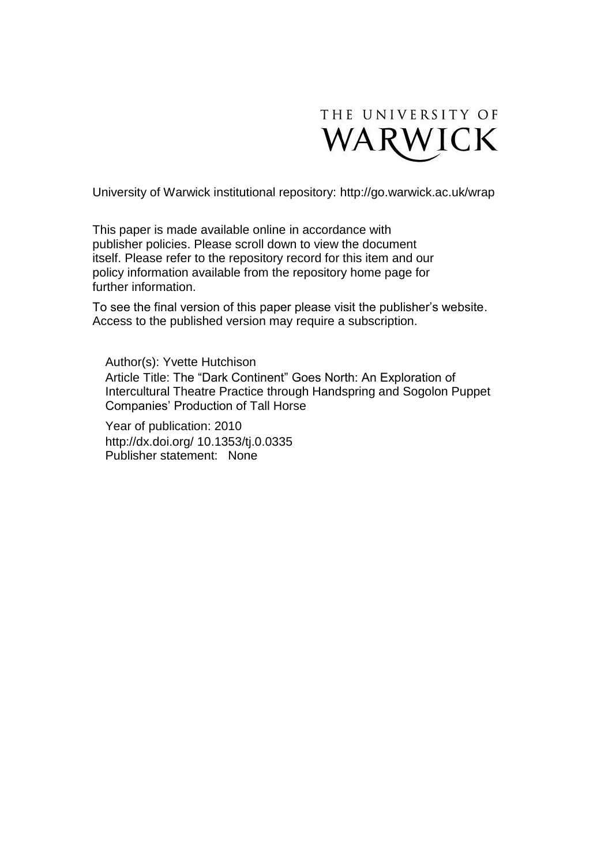

University of Warwick institutional repository:<http://go.warwick.ac.uk/wrap>

This paper is made available online in accordance with publisher policies. Please scroll down to view the document itself. Please refer to the repository record for this item and our policy information available from the repository home page for further information.

To see the final version of this paper please visit the publisher's website. Access to the published version may require a subscription.

Author(s): Yvette Hutchison Article Title: The "Dark Continent" Goes North: An Exploration of Intercultural Theatre Practice through Handspring and Sogolon Puppet Companies' Production of Tall Horse

Year of publication: 2010 http://dx.doi.org/ 10.1353/tj.0.0335 Publisher statement: None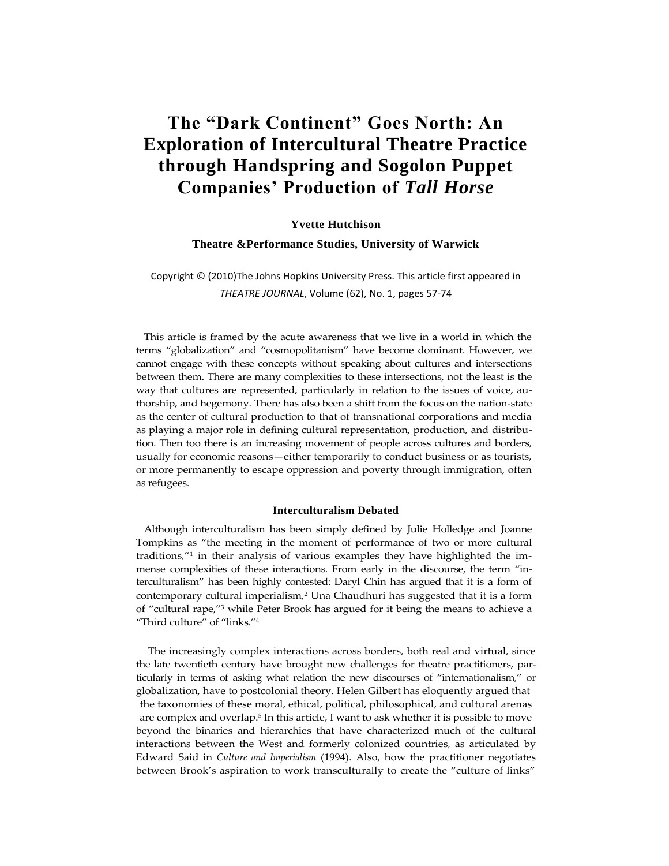# **The "Dark Continent" Goes North: An Exploration of Intercultural Theatre Practice through Handspring and Sogolon Puppet Companies' Production of** *Tall Horse*

## **Yvette Hutchison**

## **Theatre &Performance Studies, University of Warwick**

Copyright © (2010)The Johns Hopkins University Press. This article first appeared in *THEATRE JOURNAL*, Volume (62), No. 1, pages 57-74

This article is framed by the acute awareness that we live in a world in which the terms 'globalization' and 'cosmopolitanism' have become dominant. However, we cannot engage with these concepts without speaking about cultures and intersections between them. There are many complexities to these intersections, not the least is the way that cultures are represented, particularly in relation to the issues of voice, authorship, and hegemony. There has also been a shift from the focus on the nation-state as the center of cultural production to that of transnational corporations and media as playing a major role in defining cultural representation, production, and distribution. Then too there is an increasing movement of people across cultures and borders, usually for economic reasons—either temporarily to conduct business or as tourists, or more permanently to escape oppression and poverty through immigration, often as refugees.

## **Interculturalism Debated**

Although interculturalism has been simply defined by Julie Holledge and Joanne Tompkins as 'the meeting in the moment of performance of two or more cultural traditions,"<sup>1</sup> in their analysis of various examples they have highlighted the immense complexities of these interactions. From early in the discourse, the term 'interculturalism' has been highly contested: Daryl Chin has argued that it is a form of contemporary cultural imperialism,<sup>2</sup> Una Chaudhuri has suggested that it is a form of 'cultural rape,'<sup>3</sup> while Peter Brook has argued for it being the means to achieve a 'Third culture' of 'links.'<sup>4</sup>

The increasingly complex interactions across borders, both real and virtual, since the late twentieth century have brought new challenges for theatre practitioners, particularly in terms of asking what relation the new discourses of 'internationalism,' or globalization, have to postcolonial theory. Helen Gilbert has eloquently argued that the taxonomies of these moral, ethical, political, philosophical, and cultural arenas are complex and overlap.<sup>5</sup> In this article, I want to ask whether it is possible to move beyond the binaries and hierarchies that have characterized much of the cultural interactions between the West and formerly colonized countries, as articulated by Edward Said in *Culture and Imperialism* (1994). Also, how the practitioner negotiates between Brook's aspiration to work transculturally to create the "culture of links"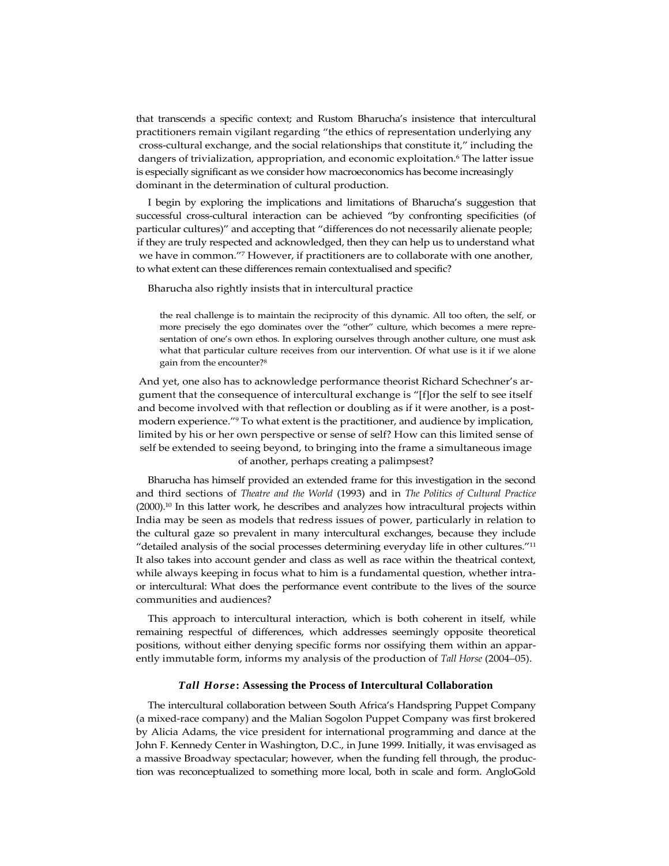that transcends a specific context; and Rustom Bharucha's insistence that intercultural practitioners remain vigilant regarding 'the ethics of representation underlying any cross-cultural exchange, and the social relationships that constitute it,' including the dangers of trivialization, appropriation, and economic exploitation.<sup>6</sup> The latter issue is especially significant as we consider how macroeconomics has become increasingly dominant in the determination of cultural production.

I begin by exploring the implications and limitations of Bharucha's suggestion that successful cross-cultural interaction can be achieved 'by confronting specificities (of particular cultures)" and accepting that "differences do not necessarily alienate people; if they are truly respected and acknowledged, then they can help us to understand what we have in common.'<sup>7</sup> However, if practitioners are to collaborate with one another, to what extent can these differences remain contextualised and specific?

Bharucha also rightly insists that in intercultural practice

the real challenge is to maintain the reciprocity of this dynamic. All too often, the self, or more precisely the ego dominates over the 'other' culture, which becomes a mere representation of one's own ethos. In exploring ourselves through another culture, one must ask what that particular culture receives from our intervention. Of what use is it if we alone gain from the encounter?<sup>8</sup>

And yet, one also has to acknowledge performance theorist Richard Schechner's argument that the consequence of intercultural exchange is "[f]or the self to see itself and become involved with that reflection or doubling as if it were another, is a postmodern experience.'<sup>9</sup> To what extent is the practitioner, and audience by implication, limited by his or her own perspective or sense of self? How can this limited sense of self be extended to seeing beyond, to bringing into the frame a simultaneous image of another, perhaps creating a palimpsest?

Bharucha has himself provided an extended frame for this investigation in the second and third sections of *Theatre and the World* (1993) and in *The Politics of Cultural Practice*  (2000).<sup>10</sup> In this latter work, he describes and analyzes how intracultural projects within India may be seen as models that redress issues of power, particularly in relation to the cultural gaze so prevalent in many intercultural exchanges, because they include 'detailed analysis of the social processes determining everyday life in other cultures.'<sup>11</sup> It also takes into account gender and class as well as race within the theatrical context, while always keeping in focus what to him is a fundamental question, whether intraor intercultural: What does the performance event contribute to the lives of the source communities and audiences?

This approach to intercultural interaction, which is both coherent in itself, while remaining respectful of differences, which addresses seemingly opposite theoretical positions, without either denying specific forms nor ossifying them within an apparently immutable form, informs my analysis of the production of *Tall Horse* (2004–05).

## *Tall Horse***: Assessing the Process of Intercultural Collaboration**

The intercultural collaboration between South Africa's Handspring Puppet Company (a mixed-race company) and the Malian Sogolon Puppet Company was first brokered by Alicia Adams, the vice president for international programming and dance at the John F. Kennedy Center in Washington, D.C., in June 1999. Initially, it was envisaged as a massive Broadway spectacular; however, when the funding fell through, the production was reconceptualized to something more local, both in scale and form. AngloGold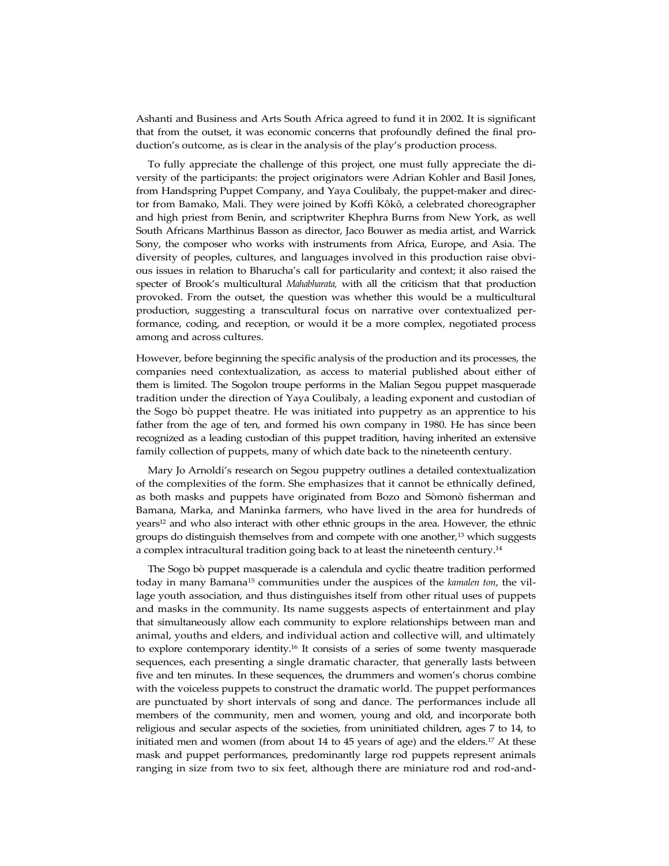Ashanti and Business and Arts South Africa agreed to fund it in 2002. It is significant that from the outset, it was economic concerns that profoundly defined the final production's outcome, as is clear in the analysis of the play's production process.

To fully appreciate the challenge of this project, one must fully appreciate the diversity of the participants: the project originators were Adrian Kohler and Basil Jones, from Handspring Puppet Company, and Yaya Coulibaly, the puppet-maker and director from Bamako, Mali. They were joined by Koffi Kôkô, a celebrated choreographer and high priest from Benin, and scriptwriter Khephra Burns from New York, as well South Africans Marthinus Basson as director, Jaco Bouwer as media artist, and Warrick Sony, the composer who works with instruments from Africa, Europe, and Asia. The diversity of peoples, cultures, and languages involved in this production raise obvious issues in relation to Bharucha's call for particularity and context; it also raised the specter of Brook's multicultural *Mahabharata,* with all the criticism that that production provoked. From the outset, the question was whether this would be a multicultural production, suggesting a transcultural focus on narrative over contextualized performance, coding, and reception, or would it be a more complex, negotiated process among and across cultures.

However, before beginning the specific analysis of the production and its processes, the companies need contextualization, as access to material published about either of them is limited. The Sogolon troupe performs in the Malian Segou puppet masquerade tradition under the direction of Yaya Coulibaly, a leading exponent and custodian of the Sogo bò puppet theatre. He was initiated into puppetry as an apprentice to his father from the age of ten, and formed his own company in 1980. He has since been recognized as a leading custodian of this puppet tradition, having inherited an extensive family collection of puppets, many of which date back to the nineteenth century.

Mary Jo Arnoldi's research on Segou puppetry outlines a detailed contextualization of the complexities of the form. She emphasizes that it cannot be ethnically defined, as both masks and puppets have originated from Bozo and Sòmonò fisherman and Bamana, Marka, and Maninka farmers, who have lived in the area for hundreds of years<sup>12</sup> and who also interact with other ethnic groups in the area. However, the ethnic groups do distinguish themselves from and compete with one another,<sup>13</sup> which suggests a complex intracultural tradition going back to at least the nineteenth century.<sup>14</sup>

The Sogo bò puppet masquerade is a calendula and cyclic theatre tradition performed today in many Bamana<sup>15</sup> communities under the auspices of the *kamalen ton*, the village youth association, and thus distinguishes itself from other ritual uses of puppets and masks in the community. Its name suggests aspects of entertainment and play that simultaneously allow each community to explore relationships between man and animal, youths and elders, and individual action and collective will, and ultimately to explore contemporary identity.<sup>16</sup> It consists of a series of some twenty masquerade sequences, each presenting a single dramatic character, that generally lasts between five and ten minutes. In these sequences, the drummers and women's chorus combine with the voiceless puppets to construct the dramatic world. The puppet performances are punctuated by short intervals of song and dance. The performances include all members of the community, men and women, young and old, and incorporate both religious and secular aspects of the societies, from uninitiated children, ages 7 to 14, to initiated men and women (from about 14 to 45 years of age) and the elders.<sup>17</sup> At these mask and puppet performances, predominantly large rod puppets represent animals ranging in size from two to six feet, although there are miniature rod and rod-and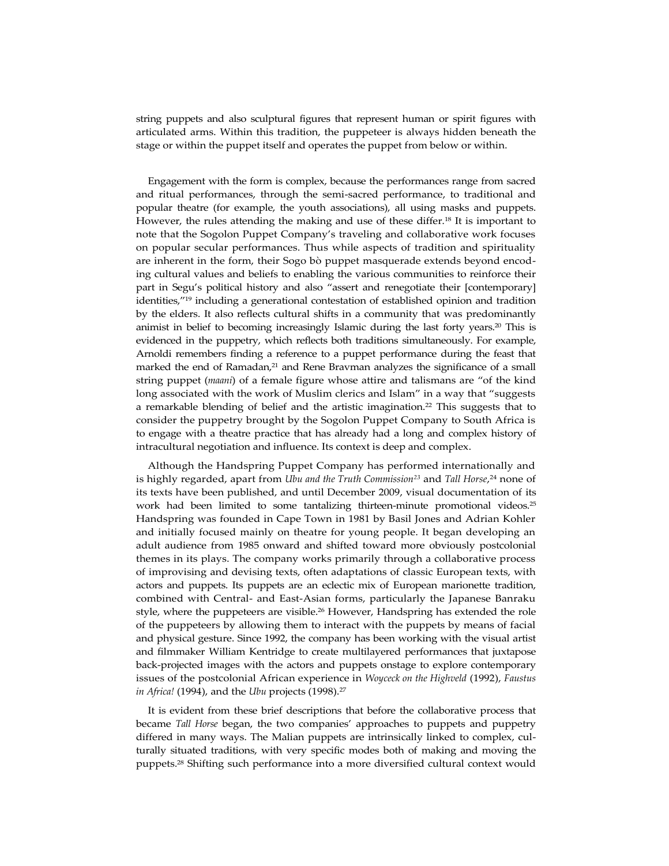string puppets and also sculptural figures that represent human or spirit figures with articulated arms. Within this tradition, the puppeteer is always hidden beneath the stage or within the puppet itself and operates the puppet from below or within.

Engagement with the form is complex, because the performances range from sacred and ritual performances, through the semi-sacred performance, to traditional and popular theatre (for example, the youth associations), all using masks and puppets. However, the rules attending the making and use of these differ.<sup>18</sup> It is important to note that the Sogolon Puppet Company's traveling and collaborative work focuses on popular secular performances. Thus while aspects of tradition and spirituality are inherent in the form, their Sogo bò puppet masquerade extends beyond encoding cultural values and beliefs to enabling the various communities to reinforce their part in Segu's political history and also "assert and renegotiate their [contemporary] identities,"<sup>19</sup> including a generational contestation of established opinion and tradition by the elders. It also reflects cultural shifts in a community that was predominantly animist in belief to becoming increasingly Islamic during the last forty years.<sup>20</sup> This is evidenced in the puppetry, which reflects both traditions simultaneously. For example, Arnoldi remembers finding a reference to a puppet performance during the feast that marked the end of Ramadan,<sup>21</sup> and Rene Bravman analyzes the significance of a small string puppet (*maani*) of a female figure whose attire and talismans are 'of the kind long associated with the work of Muslim clerics and Islam' in a way that 'suggests a remarkable blending of belief and the artistic imagination.<sup>22</sup> This suggests that to consider the puppetry brought by the Sogolon Puppet Company to South Africa is to engage with a theatre practice that has already had a long and complex history of intracultural negotiation and influence. Its context is deep and complex.

Although the Handspring Puppet Company has performed internationally and is highly regarded, apart from *Ubu and the Truth Commission<sup>23</sup>* and *Tall Horse*, <sup>24</sup> none of its texts have been published, and until December 2009, visual documentation of its work had been limited to some tantalizing thirteen-minute promotional videos.<sup>25</sup> Handspring was founded in Cape Town in 1981 by Basil Jones and Adrian Kohler and initially focused mainly on theatre for young people. It began developing an adult audience from 1985 onward and shifted toward more obviously postcolonial themes in its plays. The company works primarily through a collaborative process of improvising and devising texts, often adaptations of classic European texts, with actors and puppets. Its puppets are an eclectic mix of European marionette tradition, combined with Central- and East-Asian forms, particularly the Japanese Banraku style, where the puppeteers are visible.<sup>26</sup> However, Handspring has extended the role of the puppeteers by allowing them to interact with the puppets by means of facial and physical gesture. Since 1992, the company has been working with the visual artist and filmmaker William Kentridge to create multilayered performances that juxtapose back-projected images with the actors and puppets onstage to explore contemporary issues of the postcolonial African experience in *Woyceck on the Highveld* (1992), *Faustus in Africa!* (1994), and the *Ubu* projects (1998).<sup>27</sup>

It is evident from these brief descriptions that before the collaborative process that became *Tall Horse* began, the two companies' approaches to puppets and puppetry differed in many ways. The Malian puppets are intrinsically linked to complex, culturally situated traditions, with very specific modes both of making and moving the puppets.<sup>28</sup> Shifting such performance into a more diversified cultural context would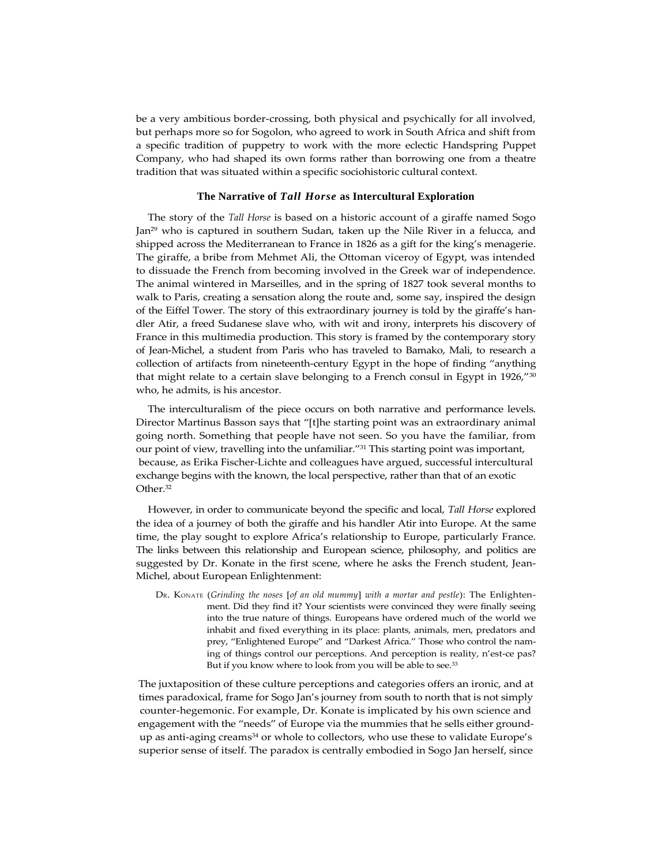be a very ambitious border-crossing, both physical and psychically for all involved, but perhaps more so for Sogolon, who agreed to work in South Africa and shift from a specific tradition of puppetry to work with the more eclectic Handspring Puppet Company, who had shaped its own forms rather than borrowing one from a theatre tradition that was situated within a specific sociohistoric cultural context.

#### **The Narrative of** *Tall Horse* **as Intercultural Exploration**

The story of the *Tall Horse* is based on a historic account of a giraffe named Sogo Jan<sup>29</sup> who is captured in southern Sudan, taken up the Nile River in a felucca, and shipped across the Mediterranean to France in 1826 as a gift for the king's menagerie. The giraffe, a bribe from Mehmet Ali, the Ottoman viceroy of Egypt, was intended to dissuade the French from becoming involved in the Greek war of independence. The animal wintered in Marseilles, and in the spring of 1827 took several months to walk to Paris, creating a sensation along the route and, some say, inspired the design of the Eiffel Tower. The story of this extraordinary journey is told by the giraffe's handler Atir, a freed Sudanese slave who, with wit and irony, interprets his discovery of France in this multimedia production. This story is framed by the contemporary story of Jean-Michel, a student from Paris who has traveled to Bamako, Mali, to research a collection of artifacts from nineteenth-century Egypt in the hope of finding 'anything that might relate to a certain slave belonging to a French consul in Egypt in  $1926$ ," $30$ who, he admits, is his ancestor.

The interculturalism of the piece occurs on both narrative and performance levels. Director Martinus Basson says that "[t]he starting point was an extraordinary animal going north. Something that people have not seen. So you have the familiar, from our point of view, travelling into the unfamiliar."<sup>31</sup> This starting point was important, because, as Erika Fischer-Lichte and colleagues have argued, successful intercultural exchange begins with the known, the local perspective, rather than that of an exotic Other.<sup>32</sup>

However, in order to communicate beyond the specific and local, *Tall Horse* explored the idea of a journey of both the giraffe and his handler Atir into Europe. At the same time, the play sought to explore Africa's relationship to Europe, particularly France. The links between this relationship and European science, philosophy, and politics are suggested by Dr. Konate in the first scene, where he asks the French student, Jean-Michel, about European Enlightenment:

DR. KONATE (*Grinding the noses* [*of an old mummy*] *with a mortar and pestle*): The Enlightenment. Did they find it? Your scientists were convinced they were finally seeing into the true nature of things. Europeans have ordered much of the world we inhabit and fixed everything in its place: plants, animals, men, predators and prey, "Enlightened Europe" and "Darkest Africa." Those who control the naming of things control our perceptions. And perception is reality, n'est-ce pas? But if you know where to look from you will be able to see.<sup>33</sup>

The juxtaposition of these culture perceptions and categories offers an ironic, and at times paradoxical, frame for Sogo Jan's journey from south to north that is not simply counter-hegemonic. For example, Dr. Konate is implicated by his own science and engagement with the 'needs' of Europe via the mummies that he sells either groundup as anti-aging creams<sup>34</sup> or whole to collectors, who use these to validate Europe's superior sense of itself. The paradox is centrally embodied in Sogo Jan herself, since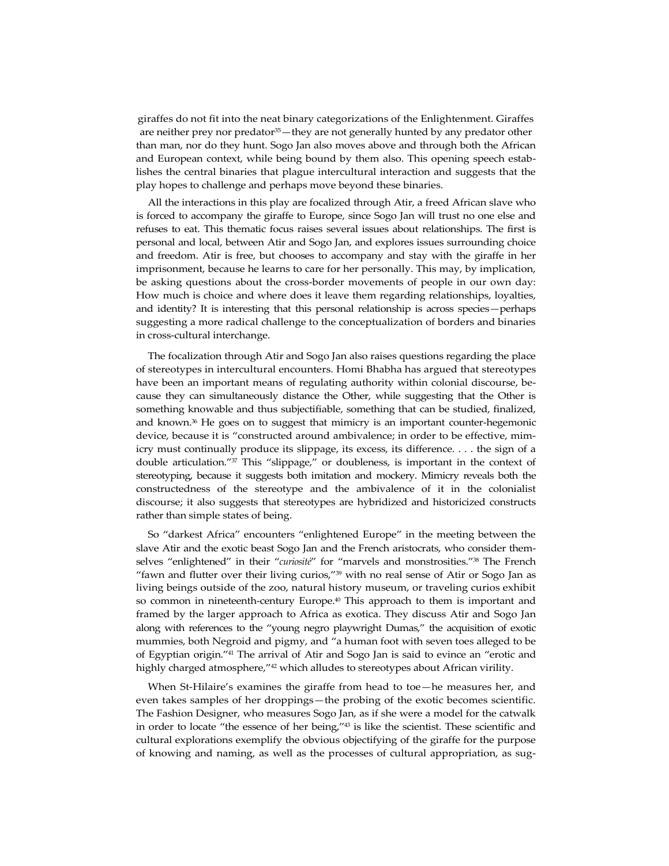giraffes do not fit into the neat binary categorizations of the Enlightenment. Giraffes are neither prey nor predator<sup>35</sup>—they are not generally hunted by any predator other than man, nor do they hunt. Sogo Jan also moves above and through both the African and European context, while being bound by them also. This opening speech establishes the central binaries that plague intercultural interaction and suggests that the play hopes to challenge and perhaps move beyond these binaries.

All the interactions in this play are focalized through Atir, a freed African slave who is forced to accompany the giraffe to Europe, since Sogo Jan will trust no one else and refuses to eat. This thematic focus raises several issues about relationships. The first is personal and local, between Atir and Sogo Jan, and explores issues surrounding choice and freedom. Atir is free, but chooses to accompany and stay with the giraffe in her imprisonment, because he learns to care for her personally. This may, by implication, be asking questions about the cross-border movements of people in our own day: How much is choice and where does it leave them regarding relationships, loyalties, and identity? It is interesting that this personal relationship is across species—perhaps suggesting a more radical challenge to the conceptualization of borders and binaries in cross-cultural interchange.

The focalization through Atir and Sogo Jan also raises questions regarding the place of stereotypes in intercultural encounters. Homi Bhabha has argued that stereotypes have been an important means of regulating authority within colonial discourse, because they can simultaneously distance the Other, while suggesting that the Other is something knowable and thus subjectifiable, something that can be studied, finalized, and known.<sup>36</sup> He goes on to suggest that mimicry is an important counter-hegemonic device, because it is 'constructed around ambivalence; in order to be effective, mimicry must continually produce its slippage, its excess, its difference. . . . the sign of a double articulation."<sup>37</sup> This "slippage," or doubleness, is important in the context of stereotyping, because it suggests both imitation and mockery. Mimicry reveals both the constructedness of the stereotype and the ambivalence of it in the colonialist discourse; it also suggests that stereotypes are hybridized and historicized constructs rather than simple states of being.

So 'darkest Africa' encounters 'enlightened Europe' in the meeting between the slave Atir and the exotic beast Sogo Jan and the French aristocrats, who consider themselves "enlightened" in their "curiosité" for "marvels and monstrosities."<sup>38</sup> The French "fawn and flutter over their living curios," $39$  with no real sense of Atir or Sogo Jan as living beings outside of the zoo, natural history museum, or traveling curios exhibit so common in nineteenth-century Europe.<sup>40</sup> This approach to them is important and framed by the larger approach to Africa as exotica. They discuss Atir and Sogo Jan along with references to the 'young negro playwright Dumas,' the acquisition of exotic mummies, both Negroid and pigmy, and 'a human foot with seven toes alleged to be of Egyptian origin.'<sup>41</sup> The arrival of Atir and Sogo Jan is said to evince an 'erotic and highly charged atmosphere,"<sup>42</sup> which alludes to stereotypes about African virility.

When St-Hilaire's examines the giraffe from head to toe—he measures her, and even takes samples of her droppings—the probing of the exotic becomes scientific. The Fashion Designer, who measures Sogo Jan, as if she were a model for the catwalk in order to locate "the essence of her being," $43$  is like the scientist. These scientific and cultural explorations exemplify the obvious objectifying of the giraffe for the purpose of knowing and naming, as well as the processes of cultural appropriation, as sug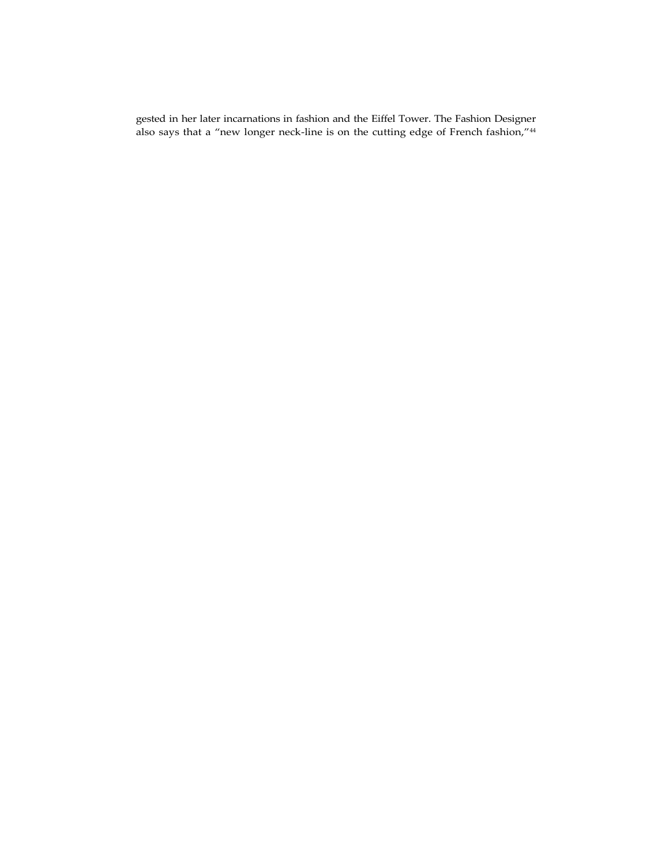gested in her later incarnations in fashion and the Eiffel Tower. The Fashion Designer also says that a "new longer neck-line is on the cutting edge of French fashion,"<sup>44</sup>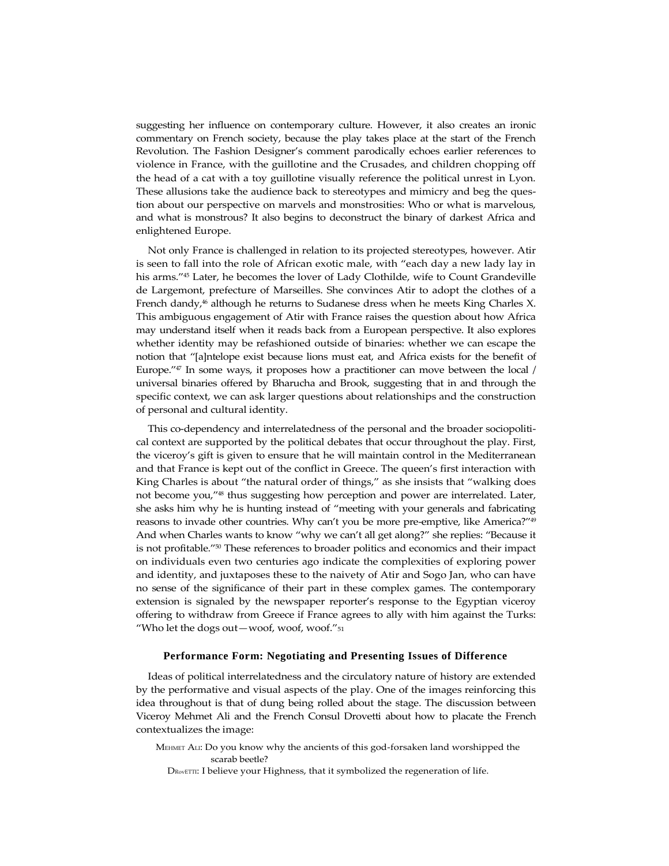suggesting her influence on contemporary culture. However, it also creates an ironic commentary on French society, because the play takes place at the start of the French Revolution. The Fashion Designer's comment parodically echoes earlier references to violence in France, with the guillotine and the Crusades, and children chopping off the head of a cat with a toy guillotine visually reference the political unrest in Lyon. These allusions take the audience back to stereotypes and mimicry and beg the question about our perspective on marvels and monstrosities: Who or what is marvelous, and what is monstrous? It also begins to deconstruct the binary of darkest Africa and enlightened Europe.

Not only France is challenged in relation to its projected stereotypes, however. Atir is seen to fall into the role of African exotic male, with 'each day a new lady lay in his arms.'<sup>45</sup> Later, he becomes the lover of Lady Clothilde, wife to Count Grandeville de Largemont, prefecture of Marseilles. She convinces Atir to adopt the clothes of a French dandy,<sup>46</sup> although he returns to Sudanese dress when he meets King Charles X. This ambiguous engagement of Atir with France raises the question about how Africa may understand itself when it reads back from a European perspective. It also explores whether identity may be refashioned outside of binaries: whether we can escape the notion that "[a]ntelope exist because lions must eat, and Africa exists for the benefit of Europe." $47$  In some ways, it proposes how a practitioner can move between the local / universal binaries offered by Bharucha and Brook, suggesting that in and through the specific context, we can ask larger questions about relationships and the construction of personal and cultural identity.

This co-dependency and interrelatedness of the personal and the broader sociopolitical context are supported by the political debates that occur throughout the play. First, the viceroy's gift is given to ensure that he will maintain control in the Mediterranean and that France is kept out of the conflict in Greece. The queen's first interaction with King Charles is about "the natural order of things," as she insists that "walking does not become you,"<sup>48</sup> thus suggesting how perception and power are interrelated. Later, she asks him why he is hunting instead of 'meeting with your generals and fabricating reasons to invade other countries. Why can't you be more pre-emptive, like America?'<sup>49</sup> And when Charles wants to know 'why we can't all get along?' she replies: 'Because it is not profitable.'<sup>50</sup> These references to broader politics and economics and their impact on individuals even two centuries ago indicate the complexities of exploring power and identity, and juxtaposes these to the naivety of Atir and Sogo Jan, who can have no sense of the significance of their part in these complex games. The contemporary extension is signaled by the newspaper reporter's response to the Egyptian viceroy offering to withdraw from Greece if France agrees to ally with him against the Turks: 'Who let the dogs out—woof, woof, woof.'<sup>51</sup>

## **Performance Form: Negotiating and Presenting Issues of Difference**

Ideas of political interrelatedness and the circulatory nature of history are extended by the performative and visual aspects of the play. One of the images reinforcing this idea throughout is that of dung being rolled about the stage. The discussion between Viceroy Mehmet Ali and the French Consul Drovetti about how to placate the French contextualizes the image:

MEHMET ALI: Do you know why the ancients of this god-forsaken land worshipped the scarab beetle?

DRovETTI: I believe your Highness, that it symbolized the regeneration of life.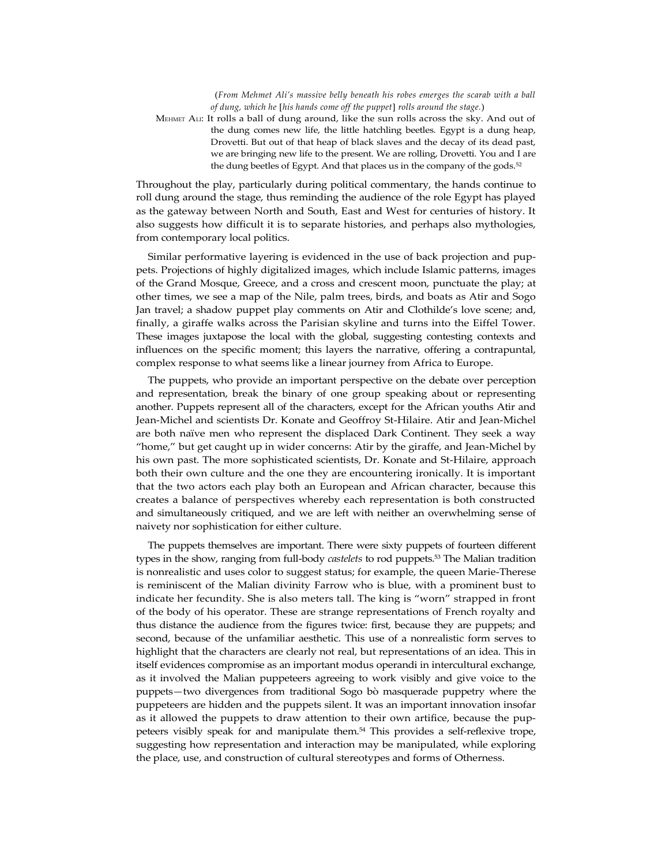(*From Mehmet Ali's massive belly beneath his robes emerges the scarab with a ball of dung, which he* [*his hands come off the puppet*] *rolls around the stage.*)

MEHMET ALI: It rolls a ball of dung around, like the sun rolls across the sky. And out of the dung comes new life, the little hatchling beetles. Egypt is a dung heap, Drovetti. But out of that heap of black slaves and the decay of its dead past, we are bringing new life to the present. We are rolling, Drovetti. You and I are the dung beetles of Egypt. And that places us in the company of the gods.<sup>52</sup>

Throughout the play, particularly during political commentary, the hands continue to roll dung around the stage, thus reminding the audience of the role Egypt has played as the gateway between North and South, East and West for centuries of history. It also suggests how difficult it is to separate histories, and perhaps also mythologies, from contemporary local politics.

Similar performative layering is evidenced in the use of back projection and puppets. Projections of highly digitalized images, which include Islamic patterns, images of the Grand Mosque, Greece, and a cross and crescent moon, punctuate the play; at other times, we see a map of the Nile, palm trees, birds, and boats as Atir and Sogo Jan travel; a shadow puppet play comments on Atir and Clothilde's love scene; and, finally, a giraffe walks across the Parisian skyline and turns into the Eiffel Tower. These images juxtapose the local with the global, suggesting contesting contexts and influences on the specific moment; this layers the narrative, offering a contrapuntal, complex response to what seems like a linear journey from Africa to Europe.

The puppets, who provide an important perspective on the debate over perception and representation, break the binary of one group speaking about or representing another. Puppets represent all of the characters, except for the African youths Atir and Jean-Michel and scientists Dr. Konate and Geoffroy St-Hilaire. Atir and Jean-Michel are both naïve men who represent the displaced Dark Continent. They seek a way 'home,' but get caught up in wider concerns: Atir by the giraffe, and Jean-Michel by his own past. The more sophisticated scientists, Dr. Konate and St-Hilaire, approach both their own culture and the one they are encountering ironically. It is important that the two actors each play both an European and African character, because this creates a balance of perspectives whereby each representation is both constructed and simultaneously critiqued, and we are left with neither an overwhelming sense of naivety nor sophistication for either culture.

The puppets themselves are important. There were sixty puppets of fourteen different types in the show, ranging from full-body *castelets* to rod puppets.<sup>53</sup> The Malian tradition is nonrealistic and uses color to suggest status; for example, the queen Marie-Therese is reminiscent of the Malian divinity Farrow who is blue, with a prominent bust to indicate her fecundity. She is also meters tall. The king is 'worn' strapped in front of the body of his operator. These are strange representations of French royalty and thus distance the audience from the figures twice: first, because they are puppets; and second, because of the unfamiliar aesthetic. This use of a nonrealistic form serves to highlight that the characters are clearly not real, but representations of an idea. This in itself evidences compromise as an important modus operandi in intercultural exchange, as it involved the Malian puppeteers agreeing to work visibly and give voice to the puppets—two divergences from traditional Sogo bò masquerade puppetry where the puppeteers are hidden and the puppets silent. It was an important innovation insofar as it allowed the puppets to draw attention to their own artifice, because the puppeteers visibly speak for and manipulate them.<sup>54</sup> This provides a self-reflexive trope, suggesting how representation and interaction may be manipulated, while exploring the place, use, and construction of cultural stereotypes and forms of Otherness.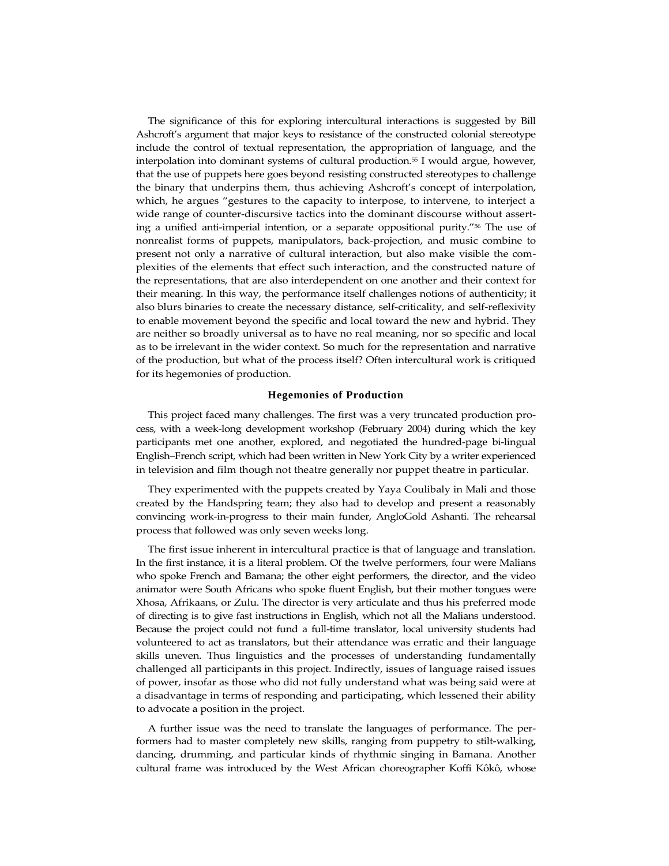The significance of this for exploring intercultural interactions is suggested by Bill Ashcroft's argument that major keys to resistance of the constructed colonial stereotype include the control of textual representation, the appropriation of language, and the interpolation into dominant systems of cultural production.<sup>55</sup> I would argue, however, that the use of puppets here goes beyond resisting constructed stereotypes to challenge the binary that underpins them, thus achieving Ashcroft's concept of interpolation, which, he argues 'gestures to the capacity to interpose, to intervene, to interject a wide range of counter-discursive tactics into the dominant discourse without asserting a unified anti-imperial intention, or a separate oppositional purity."<sup>56</sup> The use of nonrealist forms of puppets, manipulators, back-projection, and music combine to present not only a narrative of cultural interaction, but also make visible the complexities of the elements that effect such interaction, and the constructed nature of the representations, that are also interdependent on one another and their context for their meaning. In this way, the performance itself challenges notions of authenticity; it also blurs binaries to create the necessary distance, self-criticality, and self-reflexivity to enable movement beyond the specific and local toward the new and hybrid. They are neither so broadly universal as to have no real meaning, nor so specific and local as to be irrelevant in the wider context. So much for the representation and narrative of the production, but what of the process itself? Often intercultural work is critiqued for its hegemonies of production.

#### **Hegemonies of Production**

This project faced many challenges. The first was a very truncated production process, with a week-long development workshop (February 2004) during which the key participants met one another, explored, and negotiated the hundred-page bi-lingual English–French script, which had been written in New York City by a writer experienced in television and film though not theatre generally nor puppet theatre in particular.

They experimented with the puppets created by Yaya Coulibaly in Mali and those created by the Handspring team; they also had to develop and present a reasonably convincing work-in-progress to their main funder, AngloGold Ashanti. The rehearsal process that followed was only seven weeks long.

The first issue inherent in intercultural practice is that of language and translation. In the first instance, it is a literal problem. Of the twelve performers, four were Malians who spoke French and Bamana; the other eight performers, the director, and the video animator were South Africans who spoke fluent English, but their mother tongues were Xhosa, Afrikaans, or Zulu. The director is very articulate and thus his preferred mode of directing is to give fast instructions in English, which not all the Malians understood. Because the project could not fund a full-time translator, local university students had volunteered to act as translators, but their attendance was erratic and their language skills uneven. Thus linguistics and the processes of understanding fundamentally challenged all participants in this project. Indirectly, issues of language raised issues of power, insofar as those who did not fully understand what was being said were at a disadvantage in terms of responding and participating, which lessened their ability to advocate a position in the project.

A further issue was the need to translate the languages of performance. The performers had to master completely new skills, ranging from puppetry to stilt-walking, dancing, drumming, and particular kinds of rhythmic singing in Bamana. Another cultural frame was introduced by the West African choreographer Koffi Kôkô, whose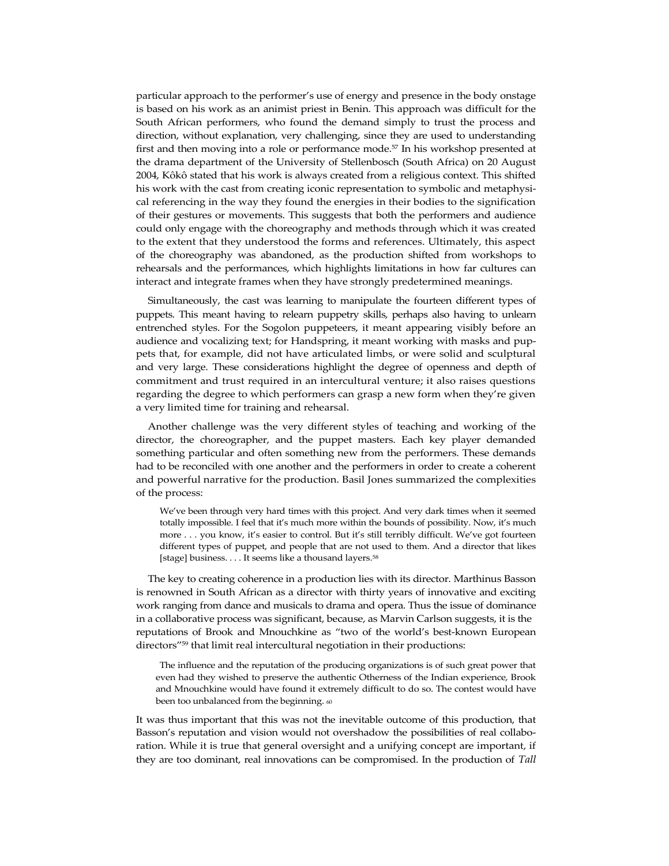particular approach to the performer's use of energy and presence in the body onstage is based on his work as an animist priest in Benin. This approach was difficult for the South African performers, who found the demand simply to trust the process and direction, without explanation, very challenging, since they are used to understanding first and then moving into a role or performance mode. $57$  In his workshop presented at the drama department of the University of Stellenbosch (South Africa) on 20 August 2004, Kôkô stated that his work is always created from a religious context. This shifted his work with the cast from creating iconic representation to symbolic and metaphysical referencing in the way they found the energies in their bodies to the signification of their gestures or movements. This suggests that both the performers and audience could only engage with the choreography and methods through which it was created to the extent that they understood the forms and references. Ultimately, this aspect of the choreography was abandoned, as the production shifted from workshops to rehearsals and the performances, which highlights limitations in how far cultures can interact and integrate frames when they have strongly predetermined meanings.

Simultaneously, the cast was learning to manipulate the fourteen different types of puppets. This meant having to relearn puppetry skills, perhaps also having to unlearn entrenched styles. For the Sogolon puppeteers, it meant appearing visibly before an audience and vocalizing text; for Handspring, it meant working with masks and puppets that, for example, did not have articulated limbs, or were solid and sculptural and very large. These considerations highlight the degree of openness and depth of commitment and trust required in an intercultural venture; it also raises questions regarding the degree to which performers can grasp a new form when they're given a very limited time for training and rehearsal.

Another challenge was the very different styles of teaching and working of the director, the choreographer, and the puppet masters. Each key player demanded something particular and often something new from the performers. These demands had to be reconciled with one another and the performers in order to create a coherent and powerful narrative for the production. Basil Jones summarized the complexities of the process:

We've been through very hard times with this project. And very dark times when it seemed totally impossible. I feel that it's much more within the bounds of possibility. Now, it's much more . . . you know, it's easier to control. But it's still terribly difficult. We've got fourteen different types of puppet, and people that are not used to them. And a director that likes [stage] business. . . . It seems like a thousand layers.<sup>58</sup>

The key to creating coherence in a production lies with its director. Marthinus Basson is renowned in South African as a director with thirty years of innovative and exciting work ranging from dance and musicals to drama and opera. Thus the issue of dominance in a collaborative process was significant, because, as Marvin Carlson suggests, it is the reputations of Brook and Mnouchkine as 'two of the world's best-known European directors<sup>"59</sup> that limit real intercultural negotiation in their productions:

The influence and the reputation of the producing organizations is of such great power that even had they wished to preserve the authentic Otherness of the Indian experience, Brook and Mnouchkine would have found it extremely difficult to do so. The contest would have been too unbalanced from the beginning. 60

It was thus important that this was not the inevitable outcome of this production, that Basson's reputation and vision would not overshadow the possibilities of real collaboration. While it is true that general oversight and a unifying concept are important, if they are too dominant, real innovations can be compromised. In the production of *Tall*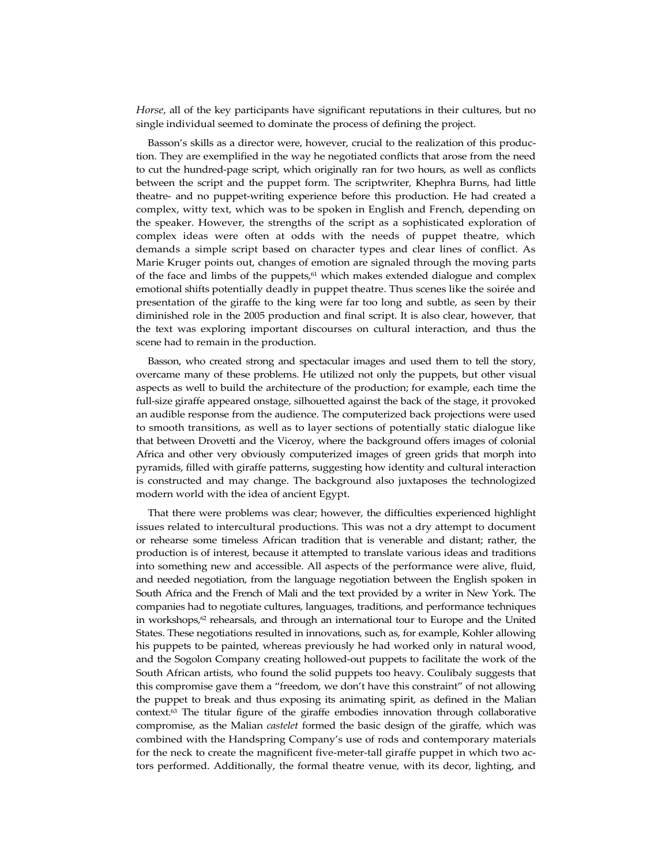*Horse*, all of the key participants have significant reputations in their cultures, but no single individual seemed to dominate the process of defining the project.

Basson's skills as a director were, however, crucial to the realization of this production. They are exemplified in the way he negotiated conflicts that arose from the need to cut the hundred-page script, which originally ran for two hours, as well as conflicts between the script and the puppet form. The scriptwriter, Khephra Burns, had little theatre- and no puppet-writing experience before this production. He had created a complex, witty text, which was to be spoken in English and French, depending on the speaker. However, the strengths of the script as a sophisticated exploration of complex ideas were often at odds with the needs of puppet theatre, which demands a simple script based on character types and clear lines of conflict. As Marie Kruger points out, changes of emotion are signaled through the moving parts of the face and limbs of the puppets,<sup>61</sup> which makes extended dialogue and complex emotional shifts potentially deadly in puppet theatre. Thus scenes like the soirée and presentation of the giraffe to the king were far too long and subtle, as seen by their diminished role in the 2005 production and final script. It is also clear, however, that the text was exploring important discourses on cultural interaction, and thus the scene had to remain in the production.

Basson, who created strong and spectacular images and used them to tell the story, overcame many of these problems. He utilized not only the puppets, but other visual aspects as well to build the architecture of the production; for example, each time the full-size giraffe appeared onstage, silhouetted against the back of the stage, it provoked an audible response from the audience. The computerized back projections were used to smooth transitions, as well as to layer sections of potentially static dialogue like that between Drovetti and the Viceroy, where the background offers images of colonial Africa and other very obviously computerized images of green grids that morph into pyramids, filled with giraffe patterns, suggesting how identity and cultural interaction is constructed and may change. The background also juxtaposes the technologized modern world with the idea of ancient Egypt.

That there were problems was clear; however, the difficulties experienced highlight issues related to intercultural productions. This was not a dry attempt to document or rehearse some timeless African tradition that is venerable and distant; rather, the production is of interest, because it attempted to translate various ideas and traditions into something new and accessible. All aspects of the performance were alive, fluid, and needed negotiation, from the language negotiation between the English spoken in South Africa and the French of Mali and the text provided by a writer in New York. The companies had to negotiate cultures, languages, traditions, and performance techniques in workshops, $62$  rehearsals, and through an international tour to Europe and the United States. These negotiations resulted in innovations, such as, for example, Kohler allowing his puppets to be painted, whereas previously he had worked only in natural wood, and the Sogolon Company creating hollowed-out puppets to facilitate the work of the South African artists, who found the solid puppets too heavy. Coulibaly suggests that this compromise gave them a 'freedom, we don't have this constraint' of not allowing the puppet to break and thus exposing its animating spirit, as defined in the Malian  $context<sup>63</sup>$ . The titular figure of the giraffe embodies innovation through collaborative compromise, as the Malian *castelet* formed the basic design of the giraffe, which was combined with the Handspring Company's use of rods and contemporary materials for the neck to create the magnificent five-meter-tall giraffe puppet in which two actors performed. Additionally, the formal theatre venue, with its decor, lighting, and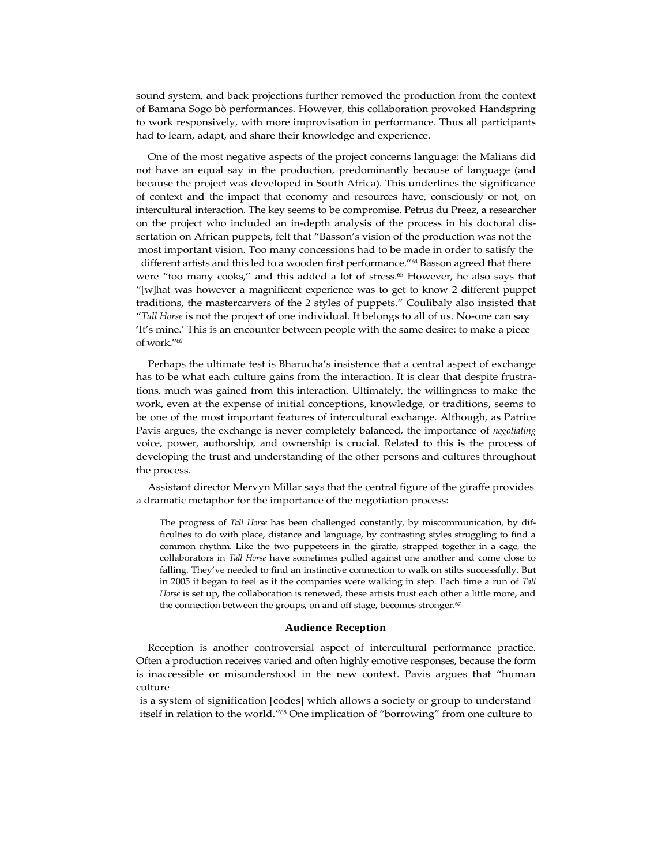sound system, and back projections further removed the production from the context of Bamana Sogo bò performances. However, this collaboration provoked Handspring to work responsively, with more improvisation in performance. Thus all participants had to learn, adapt, and share their knowledge and experience.

One of the most negative aspects of the project concerns language: the Malians did not have an equal say in the production, predominantly because of language (and because the project was developed in South Africa). This underlines the significance of context and the impact that economy and resources have, consciously or not, on intercultural interaction. The key seems to be compromise. Petrus du Preez, a researcher on the project who included an in-depth analysis of the process in his doctoral dissertation on African puppets, felt that 'Basson's vision of the production was not the most important vision. Too many concessions had to be made in order to satisfy the different artists and this led to a wooden first performance."<sup>64</sup> Basson agreed that there were "too many cooks," and this added a lot of stress.<sup>65</sup> However, he also says that "[w]hat was however a magnificent experience was to get to know 2 different puppet traditions, the mastercarvers of the 2 styles of puppets.' Coulibaly also insisted that '*Tall Horse* is not the project of one individual. It belongs to all of us. No-one can say 'It's mine.' This is an encounter between people with the same desire: to make a piece of work."<sup>66</sup>

Perhaps the ultimate test is Bharucha's insistence that a central aspect of exchange has to be what each culture gains from the interaction. It is clear that despite frustrations, much was gained from this interaction. Ultimately, the willingness to make the work, even at the expense of initial conceptions, knowledge, or traditions, seems to be one of the most important features of intercultural exchange. Although, as Patrice Pavis argues, the exchange is never completely balanced, the importance of *negotiating* voice, power, authorship, and ownership is crucial. Related to this is the process of developing the trust and understanding of the other persons and cultures throughout the process.

Assistant director Mervyn Millar says that the central figure of the giraffe provides a dramatic metaphor for the importance of the negotiation process:

The progress of *Tall Horse* has been challenged constantly, by miscommunication, by difficulties to do with place, distance and language, by contrasting styles struggling to find a common rhythm. Like the two puppeteers in the giraffe, strapped together in a cage, the collaborators in *Tall Horse* have sometimes pulled against one another and come close to falling. They've needed to find an instinctive connection to walk on stilts successfully. But in 2005 it began to feel as if the companies were walking in step. Each time a run of *Tall Horse* is set up, the collaboration is renewed, these artists trust each other a little more, and the connection between the groups, on and off stage, becomes stronger.<sup>67</sup>

#### **Audience Reception**

Reception is another controversial aspect of intercultural performance practice. Often a production receives varied and often highly emotive responses, because the form is inaccessible or misunderstood in the new context. Pavis argues that 'human culture

is a system of signification [codes] which allows a society or group to understand itself in relation to the world.'<sup>68</sup> One implication of 'borrowing' from one culture to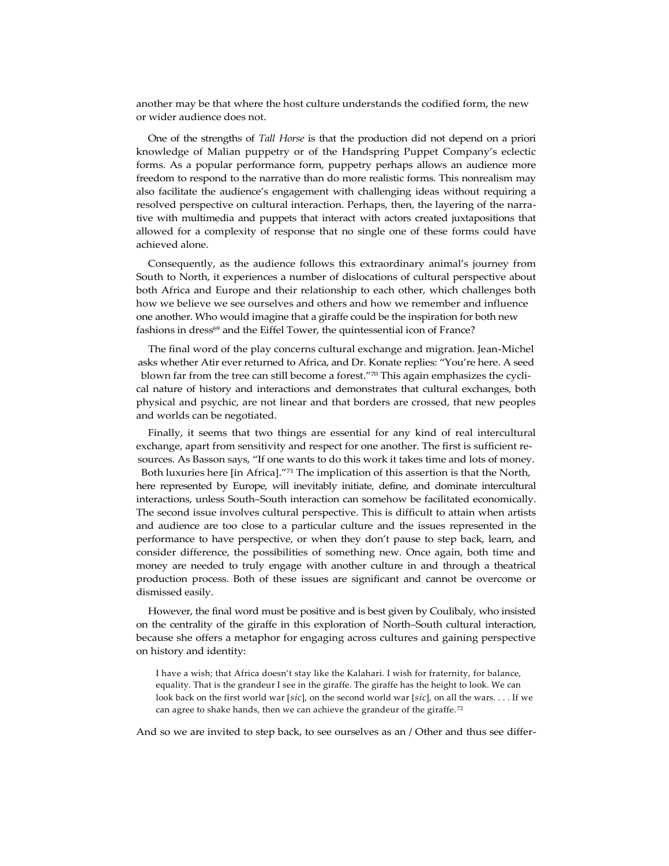another may be that where the host culture understands the codified form, the new or wider audience does not.

One of the strengths of *Tall Horse* is that the production did not depend on a priori knowledge of Malian puppetry or of the Handspring Puppet Company's eclectic forms. As a popular performance form, puppetry perhaps allows an audience more freedom to respond to the narrative than do more realistic forms. This nonrealism may also facilitate the audience's engagement with challenging ideas without requiring a resolved perspective on cultural interaction. Perhaps, then, the layering of the narrative with multimedia and puppets that interact with actors created juxtapositions that allowed for a complexity of response that no single one of these forms could have achieved alone.

Consequently, as the audience follows this extraordinary animal's journey from South to North, it experiences a number of dislocations of cultural perspective about both Africa and Europe and their relationship to each other, which challenges both how we believe we see ourselves and others and how we remember and influence one another. Who would imagine that a giraffe could be the inspiration for both new fashions in dress<sup>69</sup> and the Eiffel Tower, the quintessential icon of France?

The final word of the play concerns cultural exchange and migration. Jean-Michel asks whether Atir ever returned to Africa, and Dr. Konate replies: 'You're here. A seed blown far from the tree can still become a forest." $\frac{70}{10}$  This again emphasizes the cyclical nature of history and interactions and demonstrates that cultural exchanges, both physical and psychic, are not linear and that borders are crossed, that new peoples and worlds can be negotiated.

Finally, it seems that two things are essential for any kind of real intercultural exchange, apart from sensitivity and respect for one another. The first is sufficient resources. As Basson says, 'If one wants to do this work it takes time and lots of money. Both luxuries here  $\left[$  in Africa $\right]$ ."<sup>71</sup> The implication of this assertion is that the North, here represented by Europe, will inevitably initiate, define, and dominate intercultural interactions, unless South–South interaction can somehow be facilitated economically. The second issue involves cultural perspective. This is difficult to attain when artists and audience are too close to a particular culture and the issues represented in the performance to have perspective, or when they don't pause to step back, learn, and consider difference, the possibilities of something new. Once again, both time and money are needed to truly engage with another culture in and through a theatrical production process. Both of these issues are significant and cannot be overcome or dismissed easily.

However, the final word must be positive and is best given by Coulibaly, who insisted on the centrality of the giraffe in this exploration of North–South cultural interaction, because she offers a metaphor for engaging across cultures and gaining perspective on history and identity:

I have a wish; that Africa doesn't stay like the Kalahari. I wish for fraternity, for balance, equality. That is the grandeur I see in the giraffe. The giraffe has the height to look. We can look back on the first world war [*sic*], on the second world war [*sic*], on all the wars. . . . If we can agree to shake hands, then we can achieve the grandeur of the giraffe.<sup>72</sup>

And so we are invited to step back, to see ourselves as an / Other and thus see differ-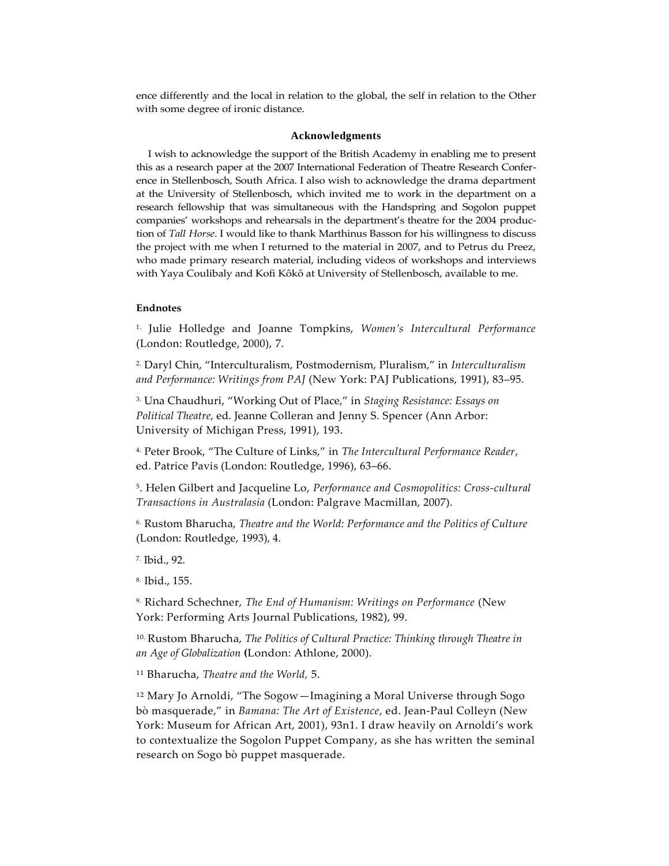ence differently and the local in relation to the global, the self in relation to the Other with some degree of ironic distance.

### **Acknowledgments**

I wish to acknowledge the support of the British Academy in enabling me to present this as a research paper at the 2007 International Federation of Theatre Research Conference in Stellenbosch, South Africa. I also wish to acknowledge the drama department at the University of Stellenbosch, which invited me to work in the department on a research fellowship that was simultaneous with the Handspring and Sogolon puppet companies' workshops and rehearsals in the department's theatre for the 2004 production of *Tall Horse*. I would like to thank Marthinus Basson for his willingness to discuss the project with me when I returned to the material in 2007, and to Petrus du Preez, who made primary research material, including videos of workshops and interviews with Yaya Coulibaly and Kofi Kôkô at University of Stellenbosch, available to me.

## **Endnotes**

1. Julie Holledge and Joanne Tompkins, *Women's Intercultural Performance* (London: Routledge, 2000), 7.

2. Daryl Chin, 'Interculturalism, Postmodernism, Pluralism,' in *Interculturalism and Performance: Writings from PAJ* (New York: PAJ Publications, 1991), 83–95.

3. Una Chaudhuri, 'Working Out of Place,' in *Staging Resistance: Essays on Political Theatre*, ed. Jeanne Colleran and Jenny S. Spencer (Ann Arbor: University of Michigan Press, 1991), 193.

4. Peter Brook, 'The Culture of Links,' in *The Intercultural Performance Reader*, ed. Patrice Pavis (London: Routledge, 1996), 63–66.

5 . Helen Gilbert and Jacqueline Lo, *Performance and Cosmopolitics: Cross-cultural Transactions in Australasia* (London: Palgrave Macmillan, 2007).

6. Rustom Bharucha, *Theatre and the World: Performance and the Politics of Culture* (London: Routledge, 1993), 4.

7. Ibid., 92.

8. Ibid., 155.

9. Richard Schechner, *The End of Humanism: Writings on Performance* (New York: Performing Arts Journal Publications, 1982), 99.

10. Rustom Bharucha, *The Politics of Cultural Practice: Thinking through Theatre in an Age of Globalization* **(**London: Athlone, 2000).

<sup>11</sup> Bharucha, *Theatre and the World,* 5.

<sup>12</sup> Mary Jo Arnoldi, 'The Sogow—Imagining a Moral Universe through Sogo bò masquerade,' in *Bamana: The Art of Existence*, ed. Jean-Paul Colleyn (New York: Museum for African Art, 2001), 93n1. I draw heavily on Arnoldi's work to contextualize the Sogolon Puppet Company, as she has written the seminal research on Sogo bò puppet masquerade.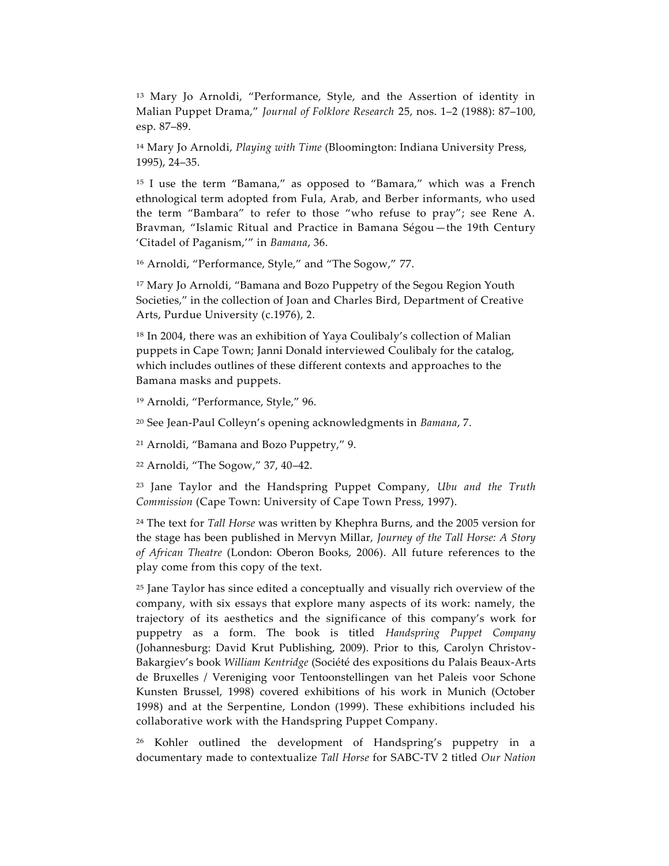<sup>13</sup> Mary Jo Arnoldi, 'Performance, Style, and the Assertion of identity in Malian Puppet Drama,' *Journal of Folklore Research* 25, nos. 1–2 (1988): 87–100, esp. 87–89.

<sup>14</sup> Mary Jo Arnoldi, *Playing with Time* (Bloomington: Indiana University Press, 1995), 24–35.

<sup>15</sup> I use the term "Bamana," as opposed to "Bamara," which was a French ethnological term adopted from Fula, Arab, and Berber informants, who used the term 'Bambara' to refer to those 'who refuse to pray'; see Rene A. Bravman, 'Islamic Ritual and Practice in Bamana Ségou—the 19th Century 'Citadel of Paganism,'' in *Bamana*, 36.

<sup>16</sup> Arnoldi, "Performance, Style," and "The Sogow," 77.

<sup>17</sup> Mary Jo Arnoldi, "Bamana and Bozo Puppetry of the Segou Region Youth Societies," in the collection of Joan and Charles Bird, Department of Creative Arts, Purdue University (c.1976), 2.

<sup>18</sup> In 2004, there was an exhibition of Yaya Coulibaly's collection of Malian puppets in Cape Town; Janni Donald interviewed Coulibaly for the catalog, which includes outlines of these different contexts and approaches to the Bamana masks and puppets.

<sup>19</sup> Arnoldi, 'Performance, Style,' 96.

<sup>20</sup> See Jean-Paul Colleyn's opening acknowledgments in *Bamana*, 7.

<sup>21</sup> Arnoldi, 'Bamana and Bozo Puppetry,' 9.

<sup>22</sup> Arnoldi, 'The Sogow,' 37, 40–42.

<sup>23</sup> Jane Taylor and the Handspring Puppet Company, *Ubu and the Truth Commission* (Cape Town: University of Cape Town Press, 1997).

<sup>24</sup> The text for *Tall Horse* was written by Khephra Burns, and the 2005 version for the stage has been published in Mervyn Millar, *Journey of the Tall Horse: A Story of African Theatre* (London: Oberon Books, 2006). All future references to the play come from this copy of the text.

<sup>25</sup> Jane Taylor has since edited a conceptually and visually rich overview of the company, with six essays that explore many aspects of its work: namely, the trajectory of its aesthetics and the significance of this company's work for puppetry as a form. The book is titled *Handspring Puppet Company* (Johannesburg: David Krut Publishing, 2009). Prior to this, Carolyn Christov-Bakargiev's book *William Kentridge* (Société des expositions du Palais Beaux-Arts de Bruxelles / Vereniging voor Tentoonstellingen van het Paleis voor Schone Kunsten Brussel, 1998) covered exhibitions of his work in Munich (October 1998) and at the Serpentine, London (1999). These exhibitions included his collaborative work with the Handspring Puppet Company.

<sup>26</sup> Kohler outlined the development of Handspring's puppetry in a documentary made to contextualize *Tall Horse* for SABC-TV 2 titled *Our Nation*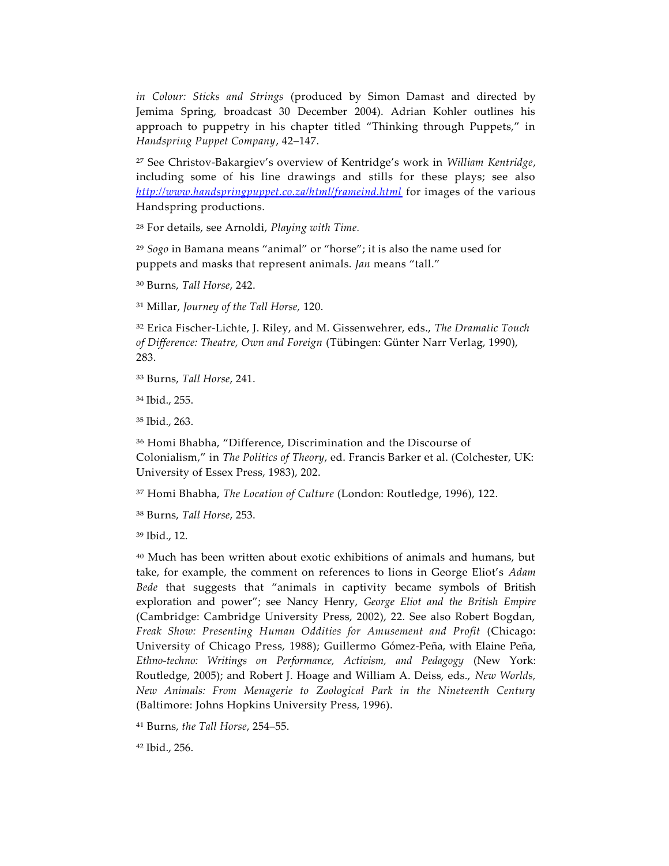*in Colour: Sticks and Strings* (produced by Simon Damast and directed by Jemima Spring, broadcast 30 December 2004). Adrian Kohler outlines his approach to puppetry in his chapter titled 'Thinking through Puppets,' in *Handspring Puppet Company*, 42–147.

<sup>27</sup> See Christov-Bakargiev's overview of Kentridge's work in *William Kentridge*, including some of his line drawings and stills for these plays; see also *<http://www.handspringpuppet.co.za/html/frameind.html>* for images of the various Handspring productions.

<sup>28</sup> For details, see Arnoldi, *Playing with Time.*

<sup>29</sup> *Sogo* in Bamana means 'animal' or 'horse'; it is also the name used for puppets and masks that represent animals. *Jan* means 'tall.'

<sup>30</sup> Burns, *Tall Horse*, 242.

<sup>31</sup> Millar, *Journey of the Tall Horse,* 120.

<sup>32</sup> Erica Fischer-Lichte, J. Riley, and M. Gissenwehrer, eds., *The Dramatic Touch of Difference: Theatre, Own and Foreign* (Tübingen: Günter Narr Verlag, 1990), 283.

<sup>33</sup> Burns, *Tall Horse*, 241.

<sup>34</sup> Ibid., 255.

<sup>35</sup> Ibid., 263.

<sup>36</sup> Homi Bhabha, 'Difference, Discrimination and the Discourse of Colonialism,' in *The Politics of Theory*, ed. Francis Barker et al. (Colchester, UK: University of Essex Press, 1983), 202.

<sup>37</sup> Homi Bhabha, *The Location of Culture* (London: Routledge, 1996), 122.

<sup>38</sup> Burns, *Tall Horse*, 253.

<sup>39</sup> Ibid., 12.

<sup>40</sup> Much has been written about exotic exhibitions of animals and humans, but take, for example, the comment on references to lions in George Eliot's *Adam Bede* that suggests that 'animals in captivity became symbols of British exploration and power'; see Nancy Henry, *George Eliot and the British Empire* (Cambridge: Cambridge University Press, 2002), 22. See also Robert Bogdan, *Freak Show: Presenting Human Oddities for Amusement and Profit* (Chicago: University of Chicago Press, 1988); Guillermo Gómez-Peña, with Elaine Peña, *Ethno-techno: Writings on Performance, Activism, and Pedagogy* (New York: Routledge, 2005); and Robert J. Hoage and William A. Deiss, eds., *New Worlds, New Animals: From Menagerie to Zoological Park in the Nineteenth Century* (Baltimore: Johns Hopkins University Press, 1996).

<sup>41</sup> Burns, *the Tall Horse*, 254–55.

<sup>42</sup> Ibid., 256.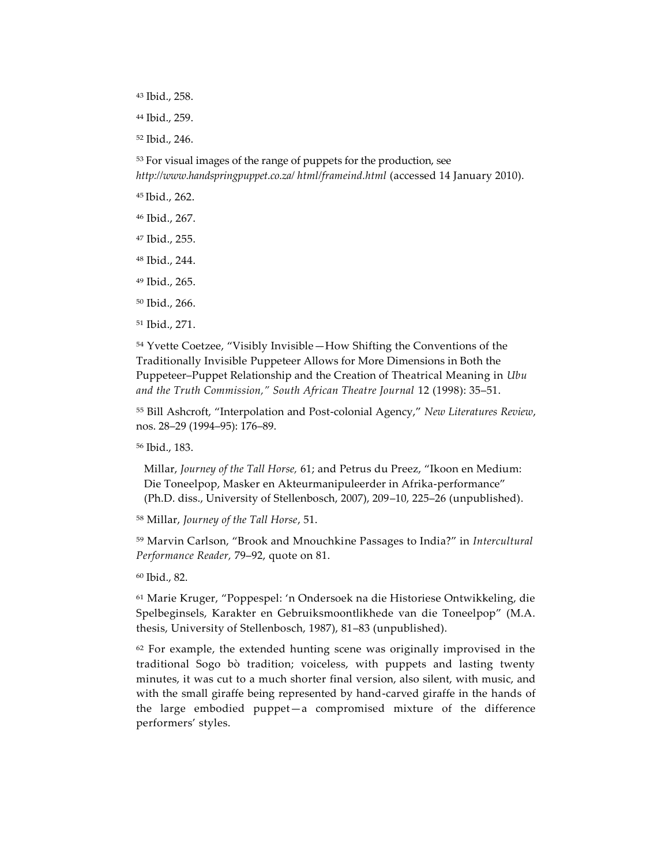<sup>43</sup> Ibid., 258.

<sup>44</sup> Ibid., 259.

<sup>52</sup> Ibid., 246.

<sup>53</sup> For visual images of the range of puppets for the production, see *http://www.handspringpuppet.co.za/ html/frameind.html* (accessed 14 January 2010).

<sup>45</sup>Ibid., 262.

- <sup>46</sup> Ibid., 267.
- <sup>47</sup> Ibid., 255.
- <sup>48</sup> Ibid., 244.
- <sup>49</sup> Ibid., 265.

<sup>50</sup> Ibid., 266.

<sup>51</sup> Ibid., 271.

<sup>54</sup> Yvette Coetzee, 'Visibly Invisible—How Shifting the Conventions of the Traditionally Invisible Puppeteer Allows for More Dimensions in Both the Puppeteer–Puppet Relationship and the Creation of Theatrical Meaning in *Ubu and the Truth Commission," South African Theatre Journal* 12 (1998): 35–51.

<sup>55</sup> Bill Ashcroft, 'Interpolation and Post-colonial Agency,' *New Literatures Review*, nos. 28–29 (1994–95): 176–89.

<sup>56</sup> Ibid., 183.

Millar, *Journey of the Tall Horse,* 61; and Petrus du Preez, 'Ikoon en Medium: Die Toneelpop, Masker en Akteurmanipuleerder in Afrika-performance' (Ph.D. diss., University of Stellenbosch, 2007), 209–10, 225–26 (unpublished).

<sup>58</sup> Millar, *Journey of the Tall Horse*, 51.

<sup>59</sup> Marvin Carlson, 'Brook and Mnouchkine Passages to India?' in *Intercultural Performance Reader,* 79–92, quote on 81.

<sup>60</sup> Ibid., 82.

<sup>61</sup> Marie Kruger, 'Poppespel: 'n Ondersoek na die Historiese Ontwikkeling, die Spelbeginsels, Karakter en Gebruiksmoontlikhede van die Toneelpop' (M.A. thesis, University of Stellenbosch, 1987), 81–83 (unpublished).

<sup>62</sup> For example, the extended hunting scene was originally improvised in the traditional Sogo bò tradition; voiceless, with puppets and lasting twenty minutes, it was cut to a much shorter final version, also silent, with music, and with the small giraffe being represented by hand-carved giraffe in the hands of the large embodied puppet—a compromised mixture of the difference performers' styles.